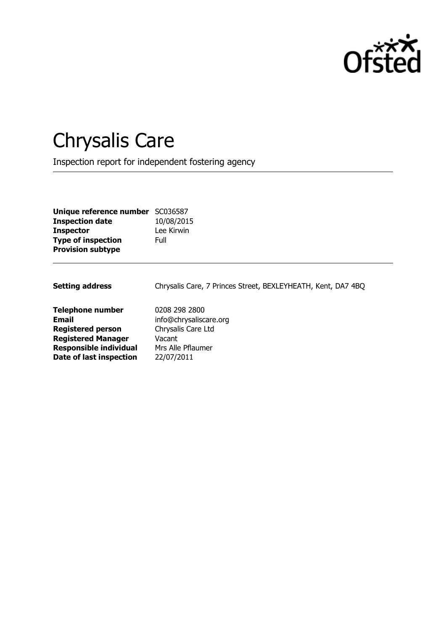

# Chrysalis Care

Inspection report for independent fostering agency

| Unique reference number SC036587 |            |
|----------------------------------|------------|
| <b>Inspection date</b>           | 10/08/2015 |
| <b>Inspector</b>                 | Lee Kirwin |
| <b>Type of inspection</b>        | Full       |
| <b>Provision subtype</b>         |            |

Setting address **Chrysalis Care, 7 Princes Street, BEXLEYHEATH, Kent, DA7 4BQ Telephone number** 0208 298 2800 **Email** info@chrysaliscare.org

**Registered person** Chrysalis Care Ltd **Registered Manager** Vacant **Responsible individual** Mrs Alle Pflaumer **Date of last inspection** 22/07/2011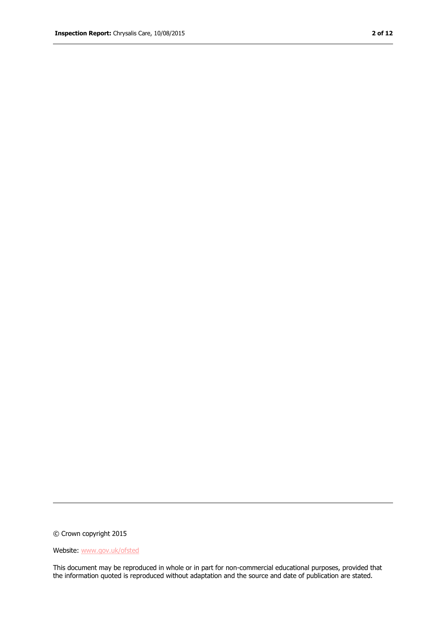© Crown copyright 2015

#### Website: www.gov.uk/ofsted

This document may be reproduced in whole or in part for non-commercial educational purposes, provided that the information quoted is reproduced without adaptation and the source and date of publication are stated.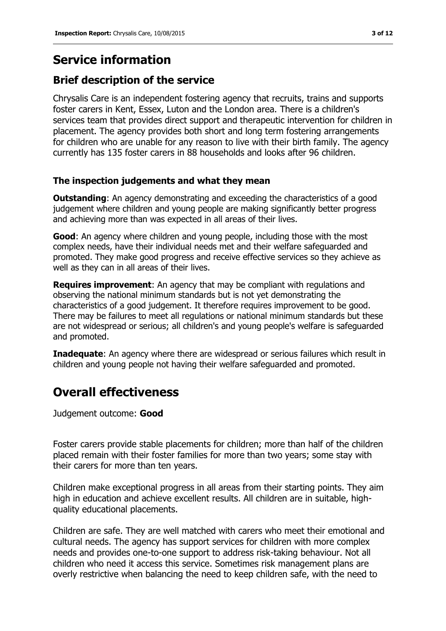# **Service information**

### **Brief description of the service**

Chrysalis Care is an independent fostering agency that recruits, trains and supports foster carers in Kent, Essex, Luton and the London area. There is a children's services team that provides direct support and therapeutic intervention for children in placement. The agency provides both short and long term fostering arrangements for children who are unable for any reason to live with their birth family. The agency currently has 135 foster carers in 88 households and looks after 96 children.

#### **The inspection judgements and what they mean**

**Outstanding:** An agency demonstrating and exceeding the characteristics of a good judgement where children and young people are making significantly better progress and achieving more than was expected in all areas of their lives.

**Good**: An agency where children and young people, including those with the most complex needs, have their individual needs met and their welfare safeguarded and promoted. They make good progress and receive effective services so they achieve as well as they can in all areas of their lives.

**Requires improvement**: An agency that may be compliant with regulations and observing the national minimum standards but is not yet demonstrating the characteristics of a good judgement. It therefore requires improvement to be good. There may be failures to meet all regulations or national minimum standards but these are not widespread or serious; all children's and young people's welfare is safeguarded and promoted.

**Inadequate:** An agency where there are widespread or serious failures which result in children and young people not having their welfare safeguarded and promoted.

# **Overall effectiveness**

Judgement outcome: **Good**

Foster carers provide stable placements for children; more than half of the children placed remain with their foster families for more than two years; some stay with their carers for more than ten years.

Children make exceptional progress in all areas from their starting points. They aim high in education and achieve excellent results. All children are in suitable, highquality educational placements.

Children are safe. They are well matched with carers who meet their emotional and cultural needs. The agency has support services for children with more complex needs and provides one-to-one support to address risk-taking behaviour. Not all children who need it access this service. Sometimes risk management plans are overly restrictive when balancing the need to keep children safe, with the need to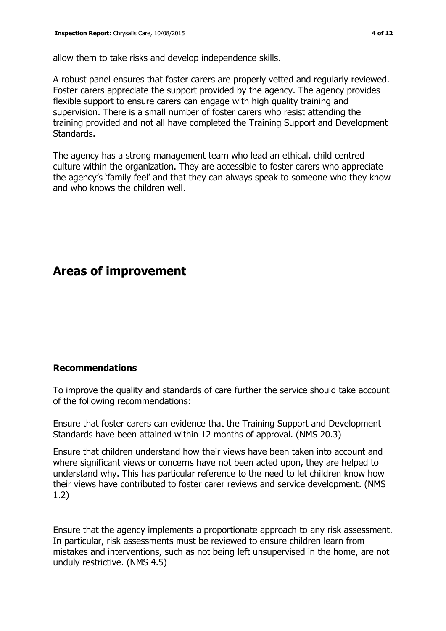allow them to take risks and develop independence skills.

A robust panel ensures that foster carers are properly vetted and regularly reviewed. Foster carers appreciate the support provided by the agency. The agency provides flexible support to ensure carers can engage with high quality training and supervision. There is a small number of foster carers who resist attending the training provided and not all have completed the Training Support and Development Standards.

The agency has a strong management team who lead an ethical, child centred culture within the organization. They are accessible to foster carers who appreciate the agency's 'family feel' and that they can always speak to someone who they know and who knows the children well.

### **Areas of improvement**

#### **Recommendations**

To improve the quality and standards of care further the service should take account of the following recommendations:

Ensure that foster carers can evidence that the Training Support and Development Standards have been attained within 12 months of approval. (NMS 20.3)

Ensure that children understand how their views have been taken into account and where significant views or concerns have not been acted upon, they are helped to understand why. This has particular reference to the need to let children know how their views have contributed to foster carer reviews and service development. (NMS 1.2)

Ensure that the agency implements a proportionate approach to any risk assessment. In particular, risk assessments must be reviewed to ensure children learn from mistakes and interventions, such as not being left unsupervised in the home, are not unduly restrictive. (NMS 4.5)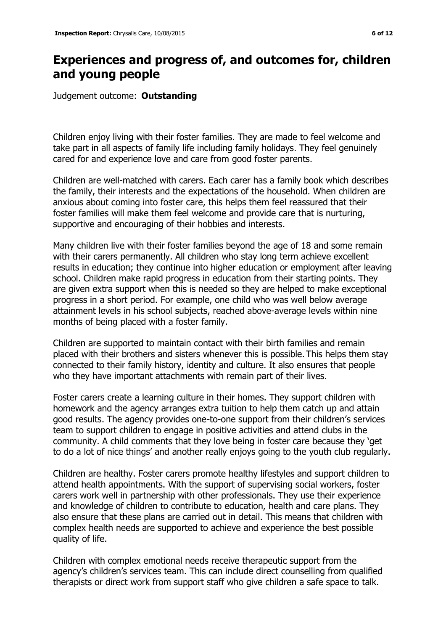# **Experiences and progress of, and outcomes for, children and young people**

Judgement outcome: **Outstanding**

Children enjoy living with their foster families. They are made to feel welcome and take part in all aspects of family life including family holidays. They feel genuinely cared for and experience love and care from good foster parents.

Children are well-matched with carers. Each carer has a family book which describes the family, their interests and the expectations of the household. When children are anxious about coming into foster care, this helps them feel reassured that their foster families will make them feel welcome and provide care that is nurturing, supportive and encouraging of their hobbies and interests.

Many children live with their foster families beyond the age of 18 and some remain with their carers permanently. All children who stay long term achieve excellent results in education; they continue into higher education or employment after leaving school. Children make rapid progress in education from their starting points. They are given extra support when this is needed so they are helped to make exceptional progress in a short period. For example, one child who was well below average attainment levels in his school subjects, reached above-average levels within nine months of being placed with a foster family.

Children are supported to maintain contact with their birth families and remain placed with their brothers and sisters whenever this is possible. This helps them stay connected to their family history, identity and culture. It also ensures that people who they have important attachments with remain part of their lives.

Foster carers create a learning culture in their homes. They support children with homework and the agency arranges extra tuition to help them catch up and attain good results. The agency provides one-to-one support from their children's services team to support children to engage in positive activities and attend clubs in the community. A child comments that they love being in foster care because they 'get to do a lot of nice things' and another really enjoys going to the youth club regularly.

Children are healthy. Foster carers promote healthy lifestyles and support children to attend health appointments. With the support of supervising social workers, foster carers work well in partnership with other professionals. They use their experience and knowledge of children to contribute to education, health and care plans. They also ensure that these plans are carried out in detail. This means that children with complex health needs are supported to achieve and experience the best possible quality of life.

Children with complex emotional needs receive therapeutic support from the agency's children's services team. This can include direct counselling from qualified therapists or direct work from support staff who give children a safe space to talk.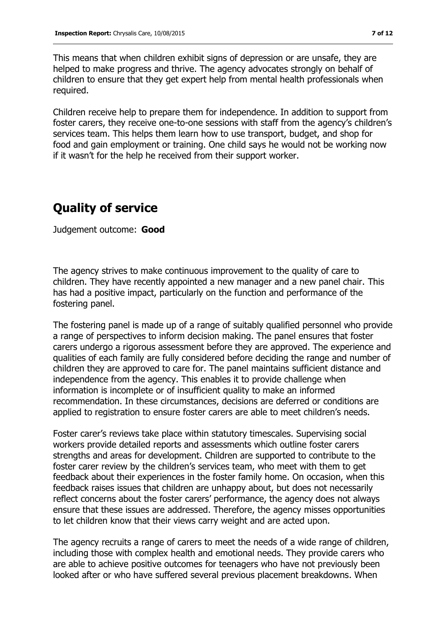This means that when children exhibit signs of depression or are unsafe, they are helped to make progress and thrive. The agency advocates strongly on behalf of children to ensure that they get expert help from mental health professionals when required.

Children receive help to prepare them for independence. In addition to support from foster carers, they receive one-to-one sessions with staff from the agency's children's services team. This helps them learn how to use transport, budget, and shop for food and gain employment or training. One child says he would not be working now if it wasn't for the help he received from their support worker.

# **Quality of service**

Judgement outcome: **Good**

The agency strives to make continuous improvement to the quality of care to children. They have recently appointed a new manager and a new panel chair. This has had a positive impact, particularly on the function and performance of the fostering panel.

The fostering panel is made up of a range of suitably qualified personnel who provide a range of perspectives to inform decision making. The panel ensures that foster carers undergo a rigorous assessment before they are approved. The experience and qualities of each family are fully considered before deciding the range and number of children they are approved to care for. The panel maintains sufficient distance and independence from the agency. This enables it to provide challenge when information is incomplete or of insufficient quality to make an informed recommendation. In these circumstances, decisions are deferred or conditions are applied to registration to ensure foster carers are able to meet children's needs.

Foster carer's reviews take place within statutory timescales. Supervising social workers provide detailed reports and assessments which outline foster carers strengths and areas for development. Children are supported to contribute to the foster carer review by the children's services team, who meet with them to get feedback about their experiences in the foster family home. On occasion, when this feedback raises issues that children are unhappy about, but does not necessarily reflect concerns about the foster carers' performance, the agency does not always ensure that these issues are addressed. Therefore, the agency misses opportunities to let children know that their views carry weight and are acted upon.

The agency recruits a range of carers to meet the needs of a wide range of children, including those with complex health and emotional needs. They provide carers who are able to achieve positive outcomes for teenagers who have not previously been looked after or who have suffered several previous placement breakdowns. When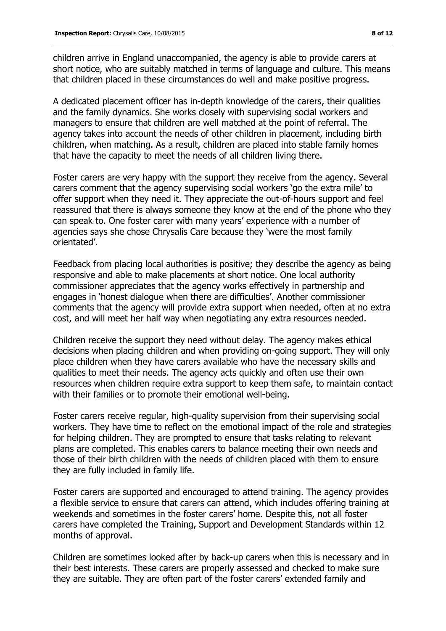children arrive in England unaccompanied, the agency is able to provide carers at short notice, who are suitably matched in terms of language and culture. This means that children placed in these circumstances do well and make positive progress.

A dedicated placement officer has in-depth knowledge of the carers, their qualities and the family dynamics. She works closely with supervising social workers and managers to ensure that children are well matched at the point of referral. The agency takes into account the needs of other children in placement, including birth children, when matching. As a result, children are placed into stable family homes that have the capacity to meet the needs of all children living there.

Foster carers are very happy with the support they receive from the agency. Several carers comment that the agency supervising social workers 'go the extra mile' to offer support when they need it. They appreciate the out-of-hours support and feel reassured that there is always someone they know at the end of the phone who they can speak to. One foster carer with many years' experience with a number of agencies says she chose Chrysalis Care because they 'were the most family orientated'.

Feedback from placing local authorities is positive; they describe the agency as being responsive and able to make placements at short notice. One local authority commissioner appreciates that the agency works effectively in partnership and engages in 'honest dialogue when there are difficulties'. Another commissioner comments that the agency will provide extra support when needed, often at no extra cost, and will meet her half way when negotiating any extra resources needed.

Children receive the support they need without delay. The agency makes ethical decisions when placing children and when providing on-going support. They will only place children when they have carers available who have the necessary skills and qualities to meet their needs. The agency acts quickly and often use their own resources when children require extra support to keep them safe, to maintain contact with their families or to promote their emotional well-being.

Foster carers receive regular, high-quality supervision from their supervising social workers. They have time to reflect on the emotional impact of the role and strategies for helping children. They are prompted to ensure that tasks relating to relevant plans are completed. This enables carers to balance meeting their own needs and those of their birth children with the needs of children placed with them to ensure they are fully included in family life.

Foster carers are supported and encouraged to attend training. The agency provides a flexible service to ensure that carers can attend, which includes offering training at weekends and sometimes in the foster carers' home. Despite this, not all foster carers have completed the Training, Support and Development Standards within 12 months of approval.

Children are sometimes looked after by back-up carers when this is necessary and in their best interests. These carers are properly assessed and checked to make sure they are suitable. They are often part of the foster carers' extended family and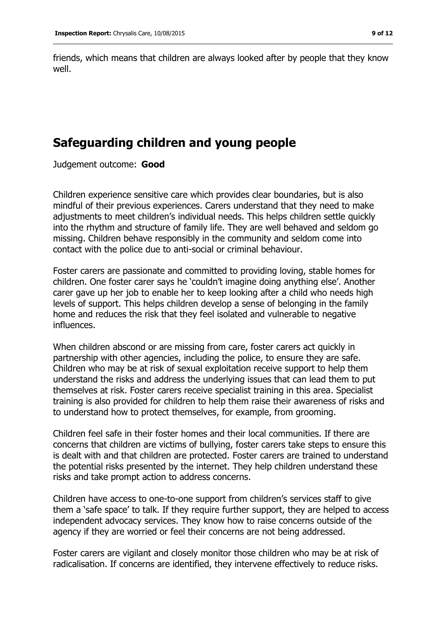friends, which means that children are always looked after by people that they know well.

# **Safeguarding children and young people**

Judgement outcome: **Good**

Children experience sensitive care which provides clear boundaries, but is also mindful of their previous experiences. Carers understand that they need to make adjustments to meet children's individual needs. This helps children settle quickly into the rhythm and structure of family life. They are well behaved and seldom go missing. Children behave responsibly in the community and seldom come into contact with the police due to anti-social or criminal behaviour.

Foster carers are passionate and committed to providing loving, stable homes for children. One foster carer says he 'couldn't imagine doing anything else'. Another carer gave up her job to enable her to keep looking after a child who needs high levels of support. This helps children develop a sense of belonging in the family home and reduces the risk that they feel isolated and vulnerable to negative influences.

When children abscond or are missing from care, foster carers act quickly in partnership with other agencies, including the police, to ensure they are safe. Children who may be at risk of sexual exploitation receive support to help them understand the risks and address the underlying issues that can lead them to put themselves at risk. Foster carers receive specialist training in this area. Specialist training is also provided for children to help them raise their awareness of risks and to understand how to protect themselves, for example, from grooming.

Children feel safe in their foster homes and their local communities. If there are concerns that children are victims of bullying, foster carers take steps to ensure this is dealt with and that children are protected. Foster carers are trained to understand the potential risks presented by the internet. They help children understand these risks and take prompt action to address concerns.

Children have access to one-to-one support from children's services staff to give them a 'safe space' to talk. If they require further support, they are helped to access independent advocacy services. They know how to raise concerns outside of the agency if they are worried or feel their concerns are not being addressed.

Foster carers are vigilant and closely monitor those children who may be at risk of radicalisation. If concerns are identified, they intervene effectively to reduce risks.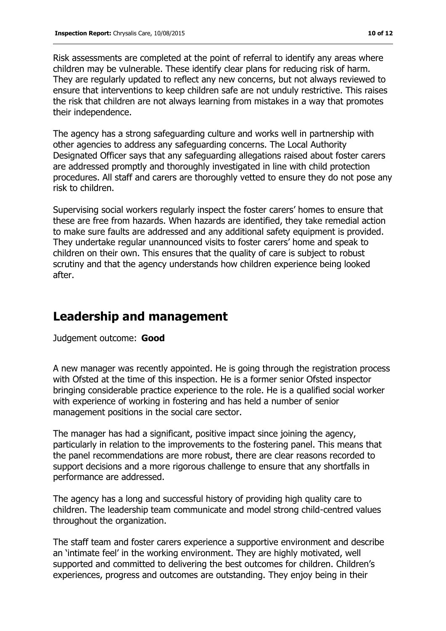Risk assessments are completed at the point of referral to identify any areas where children may be vulnerable. These identify clear plans for reducing risk of harm. They are regularly updated to reflect any new concerns, but not always reviewed to ensure that interventions to keep children safe are not unduly restrictive. This raises the risk that children are not always learning from mistakes in a way that promotes their independence.

The agency has a strong safeguarding culture and works well in partnership with other agencies to address any safeguarding concerns. The Local Authority Designated Officer says that any safeguarding allegations raised about foster carers are addressed promptly and thoroughly investigated in line with child protection procedures. All staff and carers are thoroughly vetted to ensure they do not pose any risk to children.

Supervising social workers regularly inspect the foster carers' homes to ensure that these are free from hazards. When hazards are identified, they take remedial action to make sure faults are addressed and any additional safety equipment is provided. They undertake regular unannounced visits to foster carers' home and speak to children on their own. This ensures that the quality of care is subject to robust scrutiny and that the agency understands how children experience being looked after.

# **Leadership and management**

Judgement outcome: **Good**

A new manager was recently appointed. He is going through the registration process with Ofsted at the time of this inspection. He is a former senior Ofsted inspector bringing considerable practice experience to the role. He is a qualified social worker with experience of working in fostering and has held a number of senior management positions in the social care sector.

The manager has had a significant, positive impact since joining the agency, particularly in relation to the improvements to the fostering panel. This means that the panel recommendations are more robust, there are clear reasons recorded to support decisions and a more rigorous challenge to ensure that any shortfalls in performance are addressed.

The agency has a long and successful history of providing high quality care to children. The leadership team communicate and model strong child-centred values throughout the organization.

The staff team and foster carers experience a supportive environment and describe an 'intimate feel' in the working environment. They are highly motivated, well supported and committed to delivering the best outcomes for children. Children's experiences, progress and outcomes are outstanding. They enjoy being in their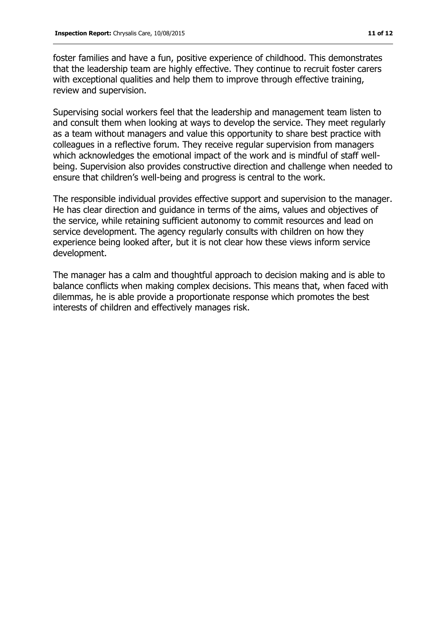foster families and have a fun, positive experience of childhood. This demonstrates that the leadership team are highly effective. They continue to recruit foster carers with exceptional qualities and help them to improve through effective training, review and supervision.

Supervising social workers feel that the leadership and management team listen to and consult them when looking at ways to develop the service. They meet regularly as a team without managers and value this opportunity to share best practice with colleagues in a reflective forum. They receive regular supervision from managers which acknowledges the emotional impact of the work and is mindful of staff wellbeing. Supervision also provides constructive direction and challenge when needed to ensure that children's well-being and progress is central to the work.

The responsible individual provides effective support and supervision to the manager. He has clear direction and guidance in terms of the aims, values and objectives of the service, while retaining sufficient autonomy to commit resources and lead on service development. The agency regularly consults with children on how they experience being looked after, but it is not clear how these views inform service development.

The manager has a calm and thoughtful approach to decision making and is able to balance conflicts when making complex decisions. This means that, when faced with dilemmas, he is able provide a proportionate response which promotes the best interests of children and effectively manages risk.